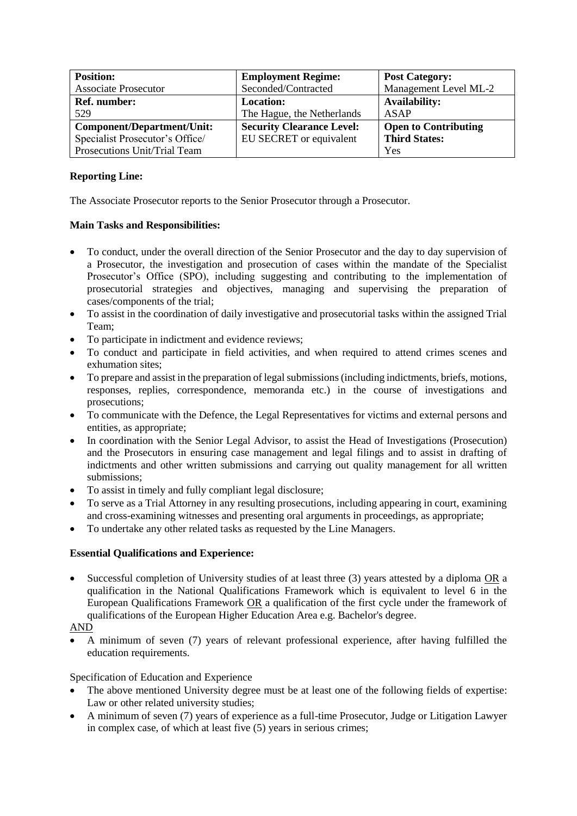| <b>Position:</b>                | <b>Employment Regime:</b>        | <b>Post Category:</b>       |
|---------------------------------|----------------------------------|-----------------------------|
| <b>Associate Prosecutor</b>     | Seconded/Contracted              | Management Level ML-2       |
| <b>Ref.</b> number:             | <b>Location:</b>                 | <b>Availability:</b>        |
| 529                             | The Hague, the Netherlands       | ASAP                        |
| Component/Department/Unit:      | <b>Security Clearance Level:</b> | <b>Open to Contributing</b> |
| Specialist Prosecutor's Office/ | EU SECRET or equivalent          | <b>Third States:</b>        |
| Prosecutions Unit/Trial Team    |                                  | Yes                         |

# **Reporting Line:**

The Associate Prosecutor reports to the Senior Prosecutor through a Prosecutor.

#### **Main Tasks and Responsibilities:**

- To conduct, under the overall direction of the Senior Prosecutor and the day to day supervision of a Prosecutor, the investigation and prosecution of cases within the mandate of the Specialist Prosecutor's Office (SPO), including suggesting and contributing to the implementation of prosecutorial strategies and objectives, managing and supervising the preparation of cases/components of the trial;
- To assist in the coordination of daily investigative and prosecutorial tasks within the assigned Trial Team;
- To participate in indictment and evidence reviews;
- To conduct and participate in field activities, and when required to attend crimes scenes and exhumation sites;
- To prepare and assist in the preparation of legal submissions (including indictments, briefs, motions, responses, replies, correspondence, memoranda etc.) in the course of investigations and prosecutions;
- To communicate with the Defence, the Legal Representatives for victims and external persons and entities, as appropriate;
- In coordination with the Senior Legal Advisor, to assist the Head of Investigations (Prosecution) and the Prosecutors in ensuring case management and legal filings and to assist in drafting of indictments and other written submissions and carrying out quality management for all written submissions;
- To assist in timely and fully compliant legal disclosure;
- To serve as a Trial Attorney in any resulting prosecutions, including appearing in court, examining and cross-examining witnesses and presenting oral arguments in proceedings, as appropriate;
- To undertake any other related tasks as requested by the Line Managers.

# **Essential Qualifications and Experience:**

 Successful completion of University studies of at least three (3) years attested by a diploma OR a qualification in the National Qualifications Framework which is equivalent to level 6 in the European Qualifications Framework OR a qualification of the first cycle under the framework of qualifications of the European Higher Education Area e.g. Bachelor's degree.

### AND

 A minimum of seven (7) years of relevant professional experience, after having fulfilled the education requirements.

# Specification of Education and Experience

- The above mentioned University degree must be at least one of the following fields of expertise: Law or other related university studies;
- A minimum of seven (7) years of experience as a full-time Prosecutor, Judge or Litigation Lawyer in complex case, of which at least five (5) years in serious crimes;